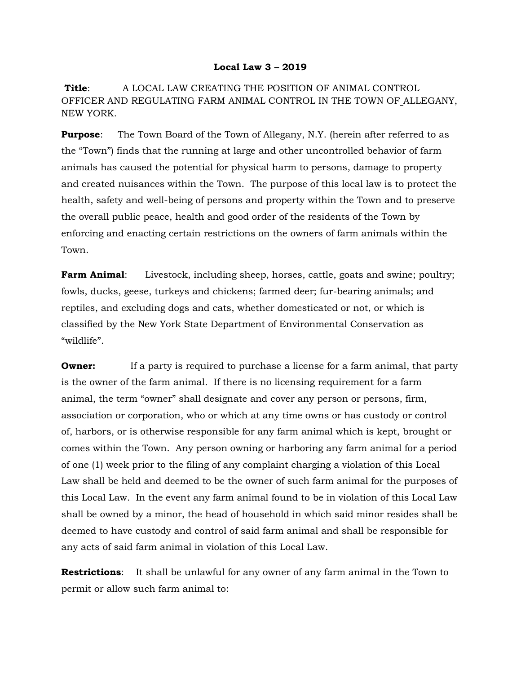## **Local Law 3 – 2019**

**Title**: A LOCAL LAW CREATING THE POSITION OF ANIMAL CONTROL OFFICER AND REGULATING FARM ANIMAL CONTROL IN THE TOWN OF ALLEGANY, NEW YORK.

**Purpose**: The Town Board of the Town of Allegany, N.Y. (herein after referred to as the "Town") finds that the running at large and other uncontrolled behavior of farm animals has caused the potential for physical harm to persons, damage to property and created nuisances within the Town. The purpose of this local law is to protect the health, safety and well-being of persons and property within the Town and to preserve the overall public peace, health and good order of the residents of the Town by enforcing and enacting certain restrictions on the owners of farm animals within the Town.

**Farm Animal:** Livestock, including sheep, horses, cattle, goats and swine; poultry; fowls, ducks, geese, turkeys and chickens; farmed deer; fur-bearing animals; and reptiles, and excluding dogs and cats, whether domesticated or not, or which is classified by the New York State Department of Environmental Conservation as "wildlife".

**Owner:** If a party is required to purchase a license for a farm animal, that party is the owner of the farm animal. If there is no licensing requirement for a farm animal, the term "owner" shall designate and cover any person or persons, firm, association or corporation, who or which at any time owns or has custody or control of, harbors, or is otherwise responsible for any farm animal which is kept, brought or comes within the Town. Any person owning or harboring any farm animal for a period of one (1) week prior to the filing of any complaint charging a violation of this Local Law shall be held and deemed to be the owner of such farm animal for the purposes of this Local Law. In the event any farm animal found to be in violation of this Local Law shall be owned by a minor, the head of household in which said minor resides shall be deemed to have custody and control of said farm animal and shall be responsible for any acts of said farm animal in violation of this Local Law.

**Restrictions**: It shall be unlawful for any owner of any farm animal in the Town to permit or allow such farm animal to: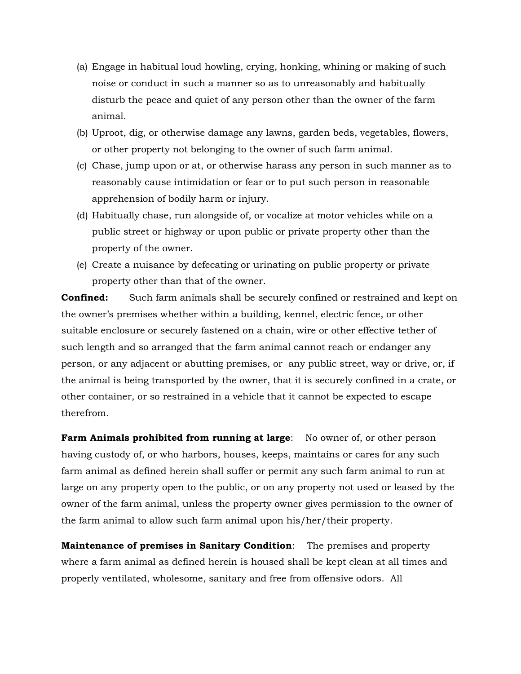- (a) Engage in habitual loud howling, crying, honking, whining or making of such noise or conduct in such a manner so as to unreasonably and habitually disturb the peace and quiet of any person other than the owner of the farm animal.
- (b) Uproot, dig, or otherwise damage any lawns, garden beds, vegetables, flowers, or other property not belonging to the owner of such farm animal.
- (c) Chase, jump upon or at, or otherwise harass any person in such manner as to reasonably cause intimidation or fear or to put such person in reasonable apprehension of bodily harm or injury.
- (d) Habitually chase, run alongside of, or vocalize at motor vehicles while on a public street or highway or upon public or private property other than the property of the owner.
- (e) Create a nuisance by defecating or urinating on public property or private property other than that of the owner.

**Confined:** Such farm animals shall be securely confined or restrained and kept on the owner's premises whether within a building, kennel, electric fence, or other suitable enclosure or securely fastened on a chain, wire or other effective tether of such length and so arranged that the farm animal cannot reach or endanger any person, or any adjacent or abutting premises, or any public street, way or drive, or, if the animal is being transported by the owner, that it is securely confined in a crate, or other container, or so restrained in a vehicle that it cannot be expected to escape therefrom.

**Farm Animals prohibited from running at large**: No owner of, or other person having custody of, or who harbors, houses, keeps, maintains or cares for any such farm animal as defined herein shall suffer or permit any such farm animal to run at large on any property open to the public, or on any property not used or leased by the owner of the farm animal, unless the property owner gives permission to the owner of the farm animal to allow such farm animal upon his/her/their property.

**Maintenance of premises in Sanitary Condition**: The premises and property where a farm animal as defined herein is housed shall be kept clean at all times and properly ventilated, wholesome, sanitary and free from offensive odors. All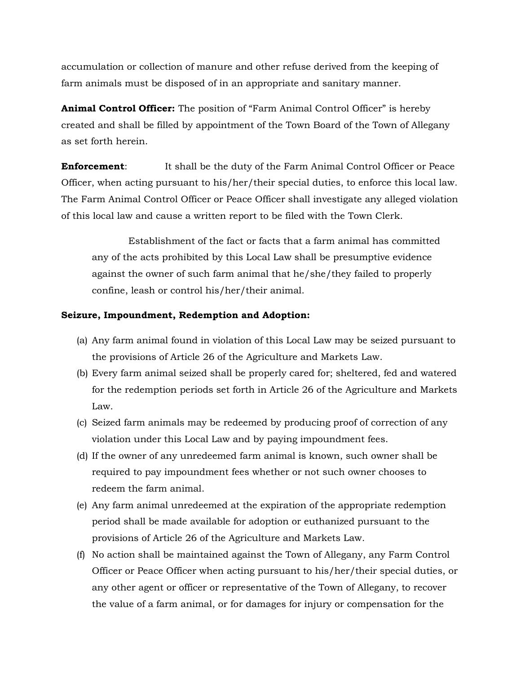accumulation or collection of manure and other refuse derived from the keeping of farm animals must be disposed of in an appropriate and sanitary manner.

**Animal Control Officer:** The position of "Farm Animal Control Officer" is hereby created and shall be filled by appointment of the Town Board of the Town of Allegany as set forth herein.

**Enforcement**: It shall be the duty of the Farm Animal Control Officer or Peace Officer, when acting pursuant to his/her/their special duties, to enforce this local law. The Farm Animal Control Officer or Peace Officer shall investigate any alleged violation of this local law and cause a written report to be filed with the Town Clerk.

 Establishment of the fact or facts that a farm animal has committed any of the acts prohibited by this Local Law shall be presumptive evidence against the owner of such farm animal that he/she/they failed to properly confine, leash or control his/her/their animal.

## **Seizure, Impoundment, Redemption and Adoption:**

- (a) Any farm animal found in violation of this Local Law may be seized pursuant to the provisions of Article 26 of the Agriculture and Markets Law.
- (b) Every farm animal seized shall be properly cared for; sheltered, fed and watered for the redemption periods set forth in Article 26 of the Agriculture and Markets Law.
- (c) Seized farm animals may be redeemed by producing proof of correction of any violation under this Local Law and by paying impoundment fees.
- (d) If the owner of any unredeemed farm animal is known, such owner shall be required to pay impoundment fees whether or not such owner chooses to redeem the farm animal.
- (e) Any farm animal unredeemed at the expiration of the appropriate redemption period shall be made available for adoption or euthanized pursuant to the provisions of Article 26 of the Agriculture and Markets Law.
- (f) No action shall be maintained against the Town of Allegany, any Farm Control Officer or Peace Officer when acting pursuant to his/her/their special duties, or any other agent or officer or representative of the Town of Allegany, to recover the value of a farm animal, or for damages for injury or compensation for the